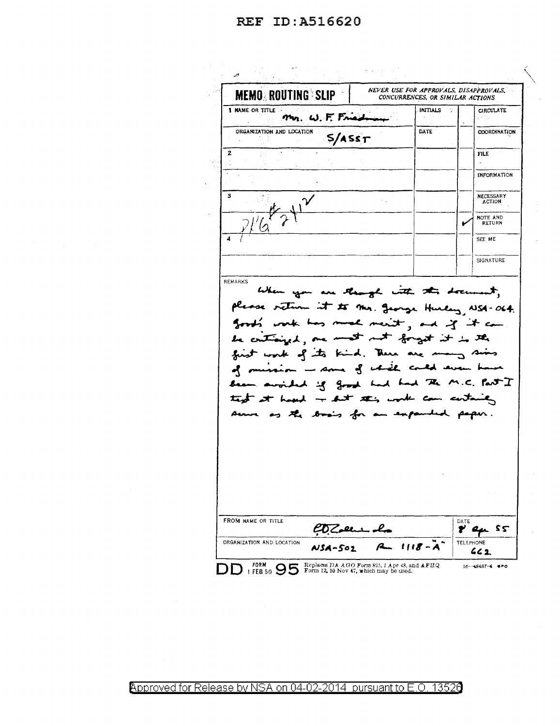REF ID: A516620

 $\zeta_{\rm c} \lesssim 100$  km s  $^{-1}$ NEVER USE FOR APPROVALS, DISAPPROVALS, **MEMO ROUTING SLIP** CONCURRENCES, OR SIMILAR ACTIONS 1 NAME OR TITLE **INITIALS** CIRCULATE Mr. W. F. Fried DATE ORGANIZATION AND LOCATION **COORDINATION**  $5/A$ ss $T$  $\overline{2}$  $FIL$ INFORMATION ંવ NECESSARY<br>ACTION NOTE AND<br>RETURN SEE ME SIGNATURE REMARKS When you are though with this document, please return it to the george Hurley, NSA-064. good's work has much ment, and if it can be criticized, one most not forget it is the first work of its kind . There are many sins of mussion - some of which could even has avoided if good had had The M.C. Part I text at hour - but this work can certainly ve as the basis for an expanded paper. FROM NAME OR TITLE p' ex s5  $\mathscr{L}\!\mathcal{D}\mathcal{Z}$ elsen ORGANIZATION AND LOCATION TELEPHONE  $1118 - A$  $\mathbf{A}$ NSA-501  $662$ DD 1 FEB 50 95 Form 12, 10 Nov 47, which may be used. 16-48487-4 GPO

Approved for Release by NSA on 04-02-2014 pursuant to E.O. 13526